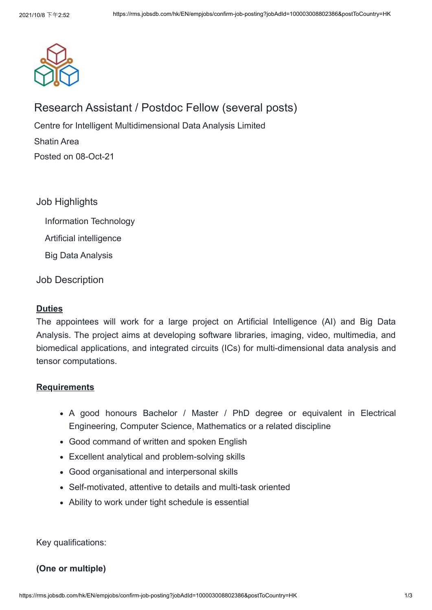

# Research Assistant / Postdoc Fellow (several posts)

Centre for Intelligent Multidimensional Data Analysis Limited [Shatin Area](javascript:void(0)) Posted on 08-Oct-21

Job Highlights Information Technology Artificial intelligence Big Data Analysis

Job Description

### **Duties**

The appointees will work for a large project on Artificial Intelligence (AI) and Big Data Analysis. The project aims at developing software libraries, imaging, video, multimedia, and biomedical applications, and integrated circuits (ICs) for multi-dimensional data analysis and tensor computations.

## **Requirements**

- A good honours Bachelor / Master / PhD degree or equivalent in Electrical Engineering, Computer Science, Mathematics or a related discipline
- Good command of written and spoken English
- Excellent analytical and problem-solving skills
- Good organisational and interpersonal skills
- Self-motivated, attentive to details and multi-task oriented
- Ability to work under tight schedule is essential

Key qualifications:

## **(One or multiple)**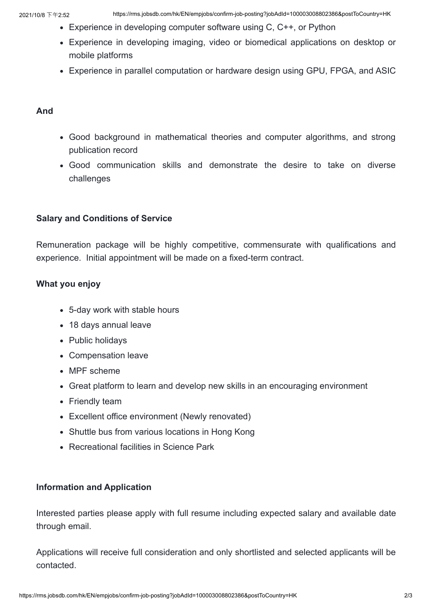- Experience in developing computer software using C, C++, or Python
- Experience in developing imaging, video or biomedical applications on desktop or mobile platforms
- Experience in parallel computation or hardware design using GPU, FPGA, and ASIC

#### **And**

- Good background in mathematical theories and computer algorithms, and strong publication record
- Good communication skills and demonstrate the desire to take on diverse challenges

#### **Salary and Conditions of Service**

Remuneration package will be highly competitive, commensurate with qualifications and experience. Initial appointment will be made on a fixed-term contract.

#### **What you enjoy**

- 5-day work with stable hours
- 18 days annual leave
- Public holidays
- Compensation leave
- MPF scheme
- Great platform to learn and develop new skills in an encouraging environment
- Friendly team
- Excellent office environment (Newly renovated)
- Shuttle bus from various locations in Hong Kong
- Recreational facilities in Science Park

#### **Information and Application**

Interested parties please apply with full resume including expected salary and available date through email.

Applications will receive full consideration and only shortlisted and selected applicants will be contacted.